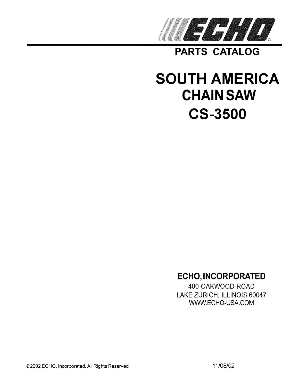

**PARTS CATALOG** 

# **SOUTH AMERICA CHAIN SAW CS-3500**

## **ECHO, INCORPORATED**

400 OAKWOOD ROAD LAKE ZURICH, ILLINOIS 60047 WWW.ECHO-USA.COM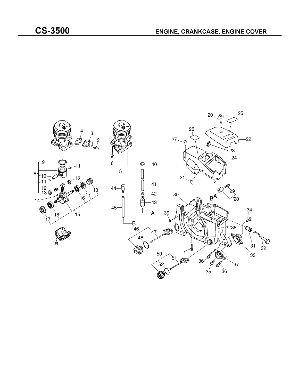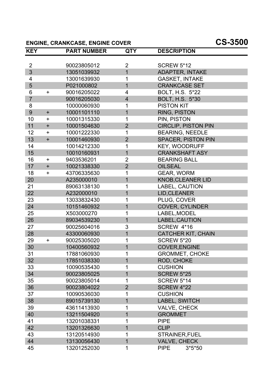#### **ENGINE, CRANKCASE, ENGINE COVER CS-3500**

| <b>KEY</b>     |           | <b>PART NUMBER</b> | <b>QTY</b>              | <b>DESCRIPTION</b>         |
|----------------|-----------|--------------------|-------------------------|----------------------------|
| $\overline{2}$ |           | 90023805012        | $\overline{2}$          | <b>SCREW 5*12</b>          |
| $\overline{3}$ |           | 13051039932        | $\overline{1}$          | <b>ADAPTER, INTAKE</b>     |
| 4              |           | 13001639930        | 1                       | <b>GASKET, INTAKE</b>      |
| 5              |           | P021000802         | $\overline{1}$          | <b>CRANKCASE SET</b>       |
| 6              | $\ddot{}$ | 90016205022        | 4                       | <b>BOLT, H.S. 5*22</b>     |
| $\overline{7}$ |           | 90016205030        | $\overline{\mathbf{4}}$ | BOLT, H.S. 5*30            |
| 8              |           | 10000060930        | 1                       | <b>PISTON KIT</b>          |
| 9              | $+$       | 10001101110        | $\overline{1}$          | <b>RING, PISTON</b>        |
| 10             | $+$       | 10001315330        | 1                       | PIN, PISTON                |
| 11             | $+$       | 10001504630        | $\overline{2}$          | <b>CIRCLIP, PISTON PIN</b> |
| 12             | $+$       | 10001222330        | 1                       | <b>BEARING, NEEDLE</b>     |
| 13             | $+$       | 10001460930        | $\overline{2}$          | <b>SPACER, PISTON PIN</b>  |
| 14             |           | 10014212330        | 1                       | <b>KEY, WOODRUFF</b>       |
| 15             |           | 10010160931        | $\overline{1}$          | <b>CRANKSHAFT ASY</b>      |
| 16             | $+$       | 9403536201         | $\overline{2}$          | <b>BEARING BALL</b>        |
| 17             | $+$       | 10021338330        | $\overline{2}$          | <b>OILSEAL</b>             |
| 18             | $\ddag$   | 43706335630        | 1                       | <b>GEAR, WORM</b>          |
| 20             |           | A235000010         | $\overline{1}$          | <b>KNOB, CLEANER LID</b>   |
| 21             |           | 89063138130        | 1                       | <b>LABEL, CAUTION</b>      |
| 22             |           | A232000010         | 1                       | LID, CLEANER               |
| 23             |           | 13033832430        | 1                       | PLUG, COVER                |
| 24             |           | 10151460932        | $\overline{1}$          | <b>COVER, CYLINDER</b>     |
| 25             |           | X503000270         | 1                       | LABEL, MODEL               |
| 26             |           | 89034539230        | $\overline{1}$          | LABEL, CAUTION             |
| 27             |           | 90025604016        | 3                       | SCREW 4*16                 |
| 28             |           | 43300060930        | $\overline{1}$          | <b>CATCHER KIT, CHAIN</b>  |
| 29             | ÷         | 90025305020        | 1                       | <b>SCREW 5*20</b>          |
| 30             |           | 10400560932        | $\overline{1}$          | COVER, ENGINE              |
| 31             |           | 17881060930        | 1                       | <b>GROMMET, CHOKE</b>      |
| 32             |           | 17851038330        | 1                       | ROD, CHOKE                 |
| 33             |           | 10090535430        | 1                       | <b>CUSHION</b>             |
| 34             |           | 90023805025        | 1                       | <b>SCREW 5*25</b>          |
| 35             |           | 90023805014        | 1                       | <b>SCREW 5*14</b>          |
| 36             |           | 90023804022        | $\overline{2}$          | <b>SCREW 4*22</b>          |
| 37             |           | 10090536030        | 1                       | <b>CUSHION</b>             |
| 38             |           | 89015739130        | 1                       | LABEL, SWITCH              |
| 39             |           | 43611413930        | 1                       | VALVE, CHECK               |
| 40             |           | 13211504920        | 1                       | <b>GROMMET</b>             |
| 41             |           | 13201038331        | 1                       | <b>PIPE</b>                |
| 42             |           | 13201326630        | 1                       | <b>CLIP</b>                |
| 43             |           | 13120514930        | 1                       | STRAINER, FUEL             |
| 44             |           | 13130056430        | $\overline{1}$          | <b>VALVE, CHECK</b>        |
| 45             |           | 13201252030        | 1                       | <b>PIPE</b><br>$3*5*50$    |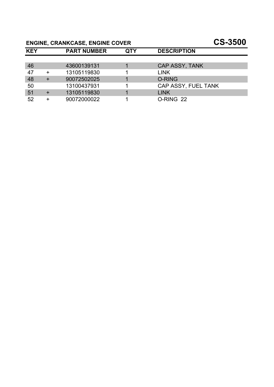## **ENGINE, CRANKCASE, ENGINE COVER CS-3500**

| <b>KEY</b> | <b>PART NUMBER</b> | QTY | <b>DESCRIPTION</b>    |
|------------|--------------------|-----|-----------------------|
|            |                    |     |                       |
| 46         | 43600139131        |     | <b>CAP ASSY, TANK</b> |
| 47         | 13105119830        |     | <b>LINK</b>           |
| 48         | 90072502025        |     | <b>O-RING</b>         |
| 50         | 13100437931        |     | CAP ASSY, FUEL TANK   |
| 51         | 13105119830        |     | <b>LINK</b>           |
| 52         | 90072000022        |     | O-RING 22             |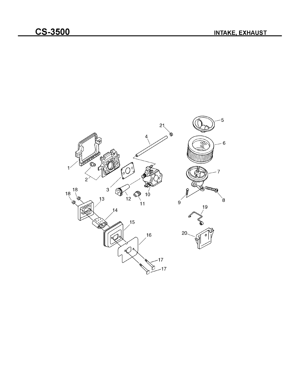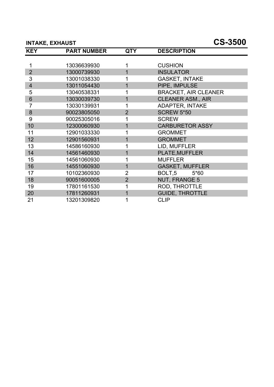#### **INTAKE, EXHAUST CS-3500**

| <b>KEY</b>              | <b>PART NUMBER</b> | <b>QTY</b>     | <b>DESCRIPTION</b>          |
|-------------------------|--------------------|----------------|-----------------------------|
|                         |                    |                |                             |
| 1                       | 13036639930        |                | <b>CUSHION</b>              |
| $\overline{2}$          | 13000739930        | 1              | <b>INSULATOR</b>            |
| 3                       | 13001038330        | 1              | <b>GASKET, INTAKE</b>       |
| $\overline{\mathbf{4}}$ | 13011054430        | 1              | PIPE, IMPULSE               |
| 5                       | 13040538331        | 1              | <b>BRACKET, AIR CLEANER</b> |
| 6                       | 13030039730        | 1              | <b>CLEANER ASM., AIR</b>    |
| 7                       | 13030139931        | 1              | <b>ADAPTER, INTAKE</b>      |
| 8                       | 90023805050        | $\overline{2}$ | <b>SCREW 5*50</b>           |
| 9                       | 90025305016        | 1              | <b>SCREW</b>                |
| 10                      | 12300060930        | 1              | <b>CARBURETOR ASSY</b>      |
| 11                      | 12901033330        | 1              | <b>GROMMET</b>              |
| 12                      | 12901560931        | 1              | <b>GROMMET</b>              |
| 13                      | 14586160930        | 1              | LID, MUFFLER                |
| 14                      | 14561460930        | 1              | <b>PLATE, MUFFLER</b>       |
| 15                      | 14561060930        | 1              | <b>MUFFLER</b>              |
| 16                      | 14551060930        | 1              | <b>GASKET, MUFFLER</b>      |
| 17                      | 10102360930        | $\overline{2}$ | BOLT,5<br>5*60              |
| 18                      | 90051600005        | $\overline{2}$ | <b>NUT, FRANGE 5</b>        |
| 19                      | 17801161530        | 1              | ROD, THROTTLE               |
| 20                      | 17811260931        | 1              | <b>GUIDE, THROTTLE</b>      |
| 21                      | 13201309820        | 1              | <b>CLIP</b>                 |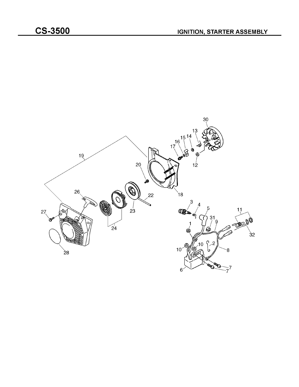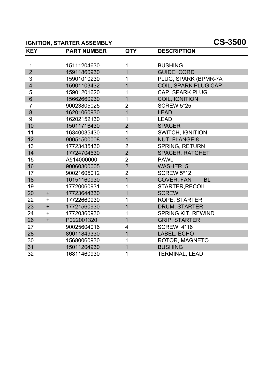#### **IGNITION, STARTER ASSEMBLY CS-3500**

| <b>KEY</b>              |           | <b>PART NUMBER</b> | <b>QTY</b>     | <b>DESCRIPTION</b>        |
|-------------------------|-----------|--------------------|----------------|---------------------------|
|                         |           |                    |                |                           |
| 1                       |           | 15111204630        | 1              | <b>BUSHING</b>            |
| $\overline{2}$          |           | 15911860930        | $\overline{1}$ | <b>GUIDE, CORD</b>        |
| 3                       |           | 15901010230        | 1              | PLUG, SPARK (BPMR-7A      |
| $\overline{\mathbf{4}}$ |           | 15901103432        | $\overline{1}$ | COIL, SPARK PLUG CAP      |
| 5                       |           | 15901201620        | 1              | CAP, SPARK PLUG           |
| 6                       |           | 15662660930        | 1              | COIL, IGNITION            |
| $\overline{7}$          |           | 90023805025        | $\overline{2}$ | <b>SCREW 5*25</b>         |
| $\bf 8$                 |           | 16201060930        | $\overline{1}$ | <b>LEAD</b>               |
| 9                       |           | 16202152130        | 1              | <b>LEAD</b>               |
| 10                      |           | 15011716430        | $\overline{2}$ | <b>SPACER</b>             |
| 11                      |           | 16340035430        | 1              | <b>SWITCH, IGNITION</b>   |
| 12                      |           | 90051500008        | $\overline{1}$ | <b>NUT, FLANGE 8</b>      |
| 13                      |           | 17723435430        | $\overline{2}$ | <b>SPRING, RETURN</b>     |
| 14                      |           | 17724704630        | $\overline{2}$ | <b>SPACER, RATCHET</b>    |
| 15                      |           | A514000000         | $\overline{2}$ | <b>PAWL</b>               |
| 16                      |           | 90060300005        | $\overline{2}$ | <b>WASHER 5</b>           |
| 17                      |           | 90021605012        | $\overline{2}$ | <b>SCREW 5*12</b>         |
| 18                      |           | 10151160930        | $\overline{1}$ | COVER, FAN<br><b>BL</b>   |
| 19                      |           | 17720060931        | 1              | <b>STARTER, RECOIL</b>    |
| 20                      | $+$       | 17723644330        | $\overline{1}$ | <b>SCREW</b>              |
| 22                      | $\pm$     | 17722660930        | 1              | ROPE, STARTER             |
| 23                      | $+$       | 17721560930        | $\overline{1}$ | <b>DRUM, STARTER</b>      |
| 24                      | $\pm$     | 17720360930        | 1              | <b>SPRING KIT, REWIND</b> |
| 26                      | $\ddot{}$ | P022001320         | $\overline{1}$ | <b>GRIP, STARTER</b>      |
| 27                      |           | 90025604016        | 4              | <b>SCREW 4*16</b>         |
| 28                      |           | 89011849330        | 1              | LABEL, ECHO               |
| 30                      |           | 15680060930        | 1              | ROTOR, MAGNETO            |
| 31                      |           | 15011204930        | $\overline{1}$ | <b>BUSHING</b>            |
| 32                      |           | 16811460930        | 1              | <b>TERMINAL, LEAD</b>     |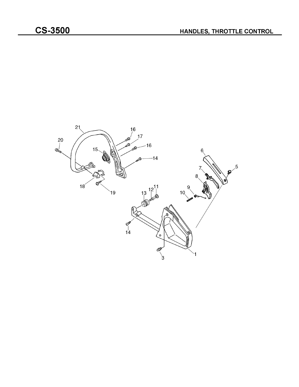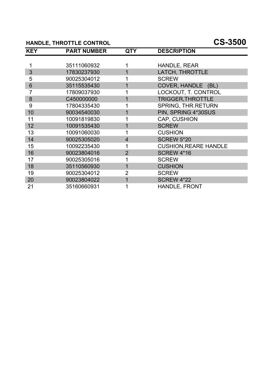#### **HANDLE, THROTTLE CONTROL CS-3500**

| <b>KEY</b> | <b>PART NUMBER</b> | <b>QTY</b>     | <b>DESCRIPTION</b>           |
|------------|--------------------|----------------|------------------------------|
|            |                    |                |                              |
| 1          | 35111060932        |                | HANDLE, REAR                 |
| 3          | 17830237930        | 1              | LATCH, THROTTLE              |
| 5          | 90025304012        | 1              | <b>SCREW</b>                 |
| 6          | 35115535430        | 1              | COVER, HANDLE (BL)           |
| 7          | 17809037930        |                | LOCKOUT, T. CONTROL          |
| 8          | C450000000         | 1              | <b>TRIGGER, THROTTLE</b>     |
| 9          | 17804335430        | 1              | <b>SPRING, THR.RETURN</b>    |
| 10         | 90034540030        | 1              | PIN, SPRING 4*30SUS          |
| 11         | 10091819830        |                | CAP, CUSHION                 |
| 12         | 10091535430        | 1              | <b>SCREW</b>                 |
| 13         | 10091060030        | $\mathbf{1}$   | <b>CUSHION</b>               |
| 14         | 90025305020        | 4              | <b>SCREW 5*20</b>            |
| 15         | 10092235430        | 1              | <b>CUSHION, REARE HANDLE</b> |
| 16         | 90023804016        | $\overline{2}$ | <b>SCREW 4*16</b>            |
| 17         | 90025305016        |                | <b>SCREW</b>                 |
| 18         | 35110560930        | 1              | <b>CUSHION</b>               |
| 19         | 90025304012        | $\overline{2}$ | <b>SCREW</b>                 |
| 20         | 90023804022        | 1              | <b>SCREW 4*22</b>            |
| 21         | 35160660931        |                | <b>HANDLE, FRONT</b>         |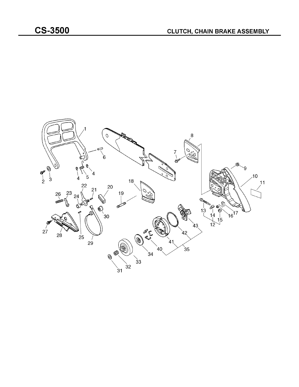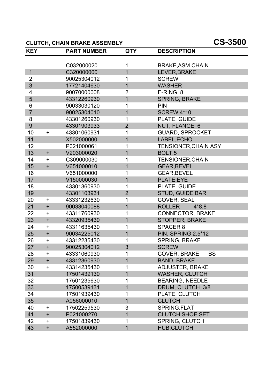#### **CLUTCH, CHAIN BRAKE ASSEMBLY CS-3500**

| <b>KEY</b>     |             | <b>PART NUMBER</b> | <b>QTY</b>     | <b>DESCRIPTION</b>          |
|----------------|-------------|--------------------|----------------|-----------------------------|
|                |             |                    |                |                             |
|                |             | C032000020         | 1              | <b>BRAKE, ASM CHAIN</b>     |
| $\mathbf{1}$   |             | C320000000         | 1              | LEVER, BRAKE                |
| $\overline{2}$ |             | 90025304012        | 1              | <b>SCREW</b>                |
| 3              |             | 17721404630        | $\overline{1}$ | <b>WASHER</b>               |
| 4              |             | 90070000008        | $\overline{2}$ | E-RING 8                    |
| 5              |             | 43312260930        | $\mathbf 1$    | <b>SPRING, BRAKE</b>        |
| 6              |             | 90033030120        | 1              | <b>PIN</b>                  |
| $\overline{7}$ |             | 90025304010        | $\overline{1}$ | <b>SCREW 4*10</b>           |
| 8              |             | 43301260930        | 1              | PLATE, GUIDE                |
| 9              |             | 43301903933        | $\overline{2}$ | NUT, FLANGE 6               |
| 10             | $+$         | 43301060931        | 1              | <b>GUARD, SPROCKET</b>      |
| 11             |             | X502000000         | $\overline{1}$ | LABEL, ECHO                 |
| 12             |             | P021000061         | 1              | <b>TENSIONER, CHAIN ASY</b> |
| 13             | $+$         | V203000020         | $\overline{1}$ | BOLT <sub>,5</sub>          |
| 14             | $\pm$       | C309000030         | 1              | <b>TENSIONER, CHAIN</b>     |
| 15             | $+$         | V651000010         | 1              | <b>GEAR, BEVEL</b>          |
| 16             |             | V651000000         | 1              | <b>GEAR, BEVEL</b>          |
| 17             |             | V150000030         | 1              | PLATE, EYE                  |
| 18             |             | 43301360930        | 1              | PLATE, GUIDE                |
| 19             |             | 43301103931        | $\overline{2}$ | STUD, GUIDE BAR             |
| 20             | $\pm$       | 43331232630        | 1              | COVER, SEAL                 |
| 21             | $+$         | 90033040088        | $\overline{1}$ | <b>ROLLER</b><br>$4*8.8$    |
| 22             | $\pm$       | 43311760930        | 1              | <b>CONNECTOR, BRAKE</b>     |
| 23             | $+$         | 43320935430        | $\overline{1}$ | STOPPER, BRAKE              |
| 24             | $+$         | 43311635430        | 1              | SPACER 8                    |
| 25             | $+$         | 90034225012        | 1              | <b>PIN, SPRING 2.5*12</b>   |
| 26             | $\pm$       | 43312235430        | 1              | <b>SPRING, BRAKE</b>        |
| 27             | $+$         | 90025304012        | 3              | <b>SCREW</b>                |
| 28             | +           | 43331060930        | 1              | <b>BS</b><br>COVER, BRAKE   |
| 29             | $+$         | 43312360930        | 1              | <b>BAND, BRAKE</b>          |
| 30             | $\pm$       | 43314235430        | 1              | <b>ADJUSTER, BRAKE</b>      |
| 31             |             | 17501439130        | 1              | <b>WASHER, CLUTCH</b>       |
| 32             |             | 17501235630        | 1              | <b>BEARING, NEEDLE</b>      |
| 33             |             | 17500539131        | 1              | DRUM, CLUTCH 3/8            |
| 34             |             | 17501939430        | 1              | PLATE, CLUTCH               |
| 35             |             | A056000010         | 1              | <b>CLUTCH</b>               |
| 40             | $\pm$       | 17502259530        | 3              | SPRING, FLAT                |
| 41             | $+$         | P021000270         | 1              | <b>CLUTCH SHOE SET</b>      |
| 42             | $\mathbf +$ | 17501839430        | 1              | <b>SPRING, CLUTCH</b>       |
| 43             | $+$         | A552000000         | $\mathbf 1$    | <b>HUB, CLUTCH</b>          |
|                |             |                    |                |                             |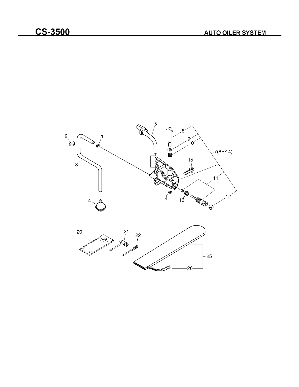

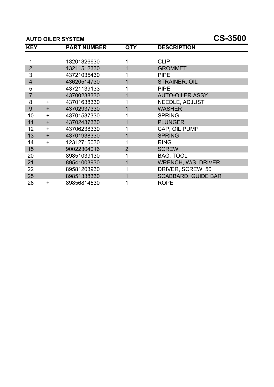#### **AUTO OILER SYSTEM CS-3500**

| <b>KEY</b>     |           | <b>PART NUMBER</b> | <b>QTY</b>     | <b>DESCRIPTION</b>         |
|----------------|-----------|--------------------|----------------|----------------------------|
|                |           |                    |                |                            |
| 1              |           | 13201326630        |                | <b>CLIP</b>                |
| $\overline{2}$ |           | 13211512330        |                | <b>GROMMET</b>             |
| 3              |           | 43721035430        |                | <b>PIPE</b>                |
| $\overline{4}$ |           | 43620514730        |                | <b>STRAINER, OIL</b>       |
| 5              |           | 43721139133        |                | <b>PIPE</b>                |
| $\overline{7}$ |           | 43700238330        |                | <b>AUTO-OILER ASSY</b>     |
| 8              | $+$       | 43701638330        |                | <b>NEEDLE, ADJUST</b>      |
| 9              | $\ddot{}$ | 43702937330        |                | <b>WASHER</b>              |
| 10             | $\ddot{}$ | 43701537330        |                | <b>SPRING</b>              |
| 11             | $\ddot{}$ | 43702437330        |                | <b>PLUNGER</b>             |
| 12             | $\ddot{}$ | 43706238330        |                | CAP, OIL PUMP              |
| 13             | $\ddot{}$ | 43701938330        | 1              | <b>SPRING</b>              |
| 14             | $\ddot{}$ | 12312715030        | 1              | <b>RING</b>                |
| 15             |           | 90022304016        | $\overline{2}$ | <b>SCREW</b>               |
| 20             |           | 89851039130        |                | <b>BAG, TOOL</b>           |
| 21             |           | 89541003930        |                | <b>WRENCH, W/S. DRIVER</b> |
| 22             |           | 89581203930        |                | DRIVER, SCREW 50           |
| 25             |           | 89851338330        |                | <b>SCABBARD, GUIDE BAR</b> |
| 26             | $\ddot{}$ | 89856814530        |                | <b>ROPE</b>                |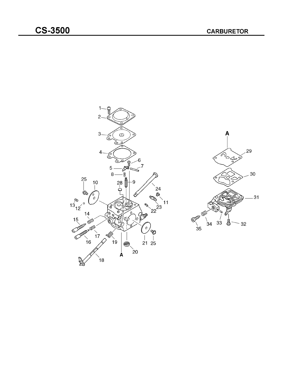